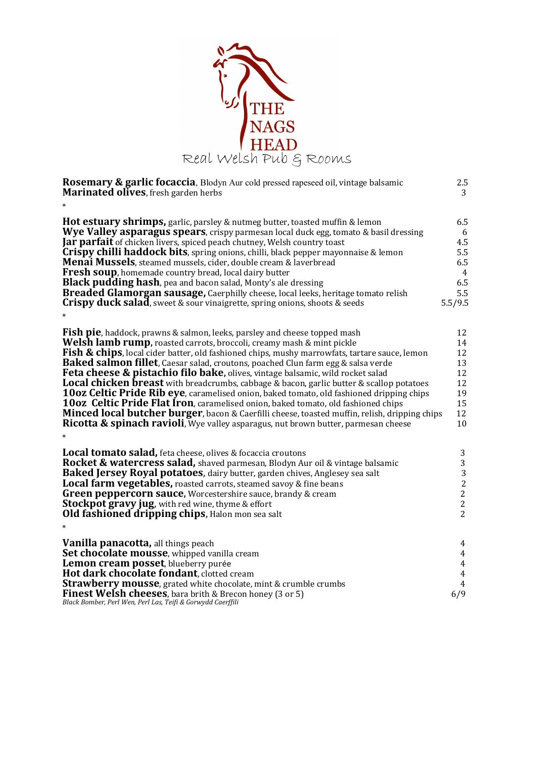

| <b>Rosemary &amp; garlic focaccia</b> , Blodyn Aur cold pressed rapeseed oil, vintage balsamic<br><b>Marinated olives</b> , fresh garden herbs<br>$\ast$                                                                                                                                                                                                                                     | 2.5<br>3                                               |
|----------------------------------------------------------------------------------------------------------------------------------------------------------------------------------------------------------------------------------------------------------------------------------------------------------------------------------------------------------------------------------------------|--------------------------------------------------------|
| <b>Hot estuary shrimps,</b> garlic, parsley & nutmeg butter, toasted muffin & lemon                                                                                                                                                                                                                                                                                                          | 6.5                                                    |
| <b>Wye Valley asparagus spears</b> , crispy parmesan local duck egg, tomato & basil dressing                                                                                                                                                                                                                                                                                                 | 6                                                      |
| Jar parfait of chicken livers, spiced peach chutney, Welsh country toast                                                                                                                                                                                                                                                                                                                     | 4.5                                                    |
| <b>Crispy chilli haddock bits</b> , spring onions, chilli, black pepper mayonnaise & lemon                                                                                                                                                                                                                                                                                                   | 5.5                                                    |
| <b>Menai Mussels</b> , steamed mussels, cider, double cream & laverbread                                                                                                                                                                                                                                                                                                                     | 6.5                                                    |
| <b>Fresh soup</b> , homemade country bread, local dairy butter                                                                                                                                                                                                                                                                                                                               | $\overline{4}$                                         |
| Black pudding hash, pea and bacon salad, Monty's ale dressing                                                                                                                                                                                                                                                                                                                                | 6.5                                                    |
| <b>Breaded Glamorgan sausage, Caerphilly cheese, local leeks, heritage tomato relish</b>                                                                                                                                                                                                                                                                                                     | 5.5                                                    |
| Crispy duck salad, sweet & sour vinaigrette, spring onions, shoots & seeds                                                                                                                                                                                                                                                                                                                   | 5.5/9.5                                                |
|                                                                                                                                                                                                                                                                                                                                                                                              |                                                        |
| <b>Fish pie</b> , haddock, prawns & salmon, leeks, parsley and cheese topped mash                                                                                                                                                                                                                                                                                                            | 12                                                     |
| <b>Welsh lamb rump,</b> roasted carrots, broccoli, creamy mash & mint pickle                                                                                                                                                                                                                                                                                                                 | 14                                                     |
| <b>Fish &amp; chips</b> , local cider batter, old fashioned chips, mushy marrowfats, tartare sauce, lemon                                                                                                                                                                                                                                                                                    | 12                                                     |
| <b>Baked salmon fillet</b> , Caesar salad, croutons, poached Clun farm egg & salsa verde                                                                                                                                                                                                                                                                                                     | 13                                                     |
| <b>Feta cheese &amp; pistachio filo bake, olives, vintage balsamic, wild rocket salad</b>                                                                                                                                                                                                                                                                                                    | 12                                                     |
| <b>Local chicken breast</b> with breadcrumbs, cabbage & bacon, garlic butter & scallop potatoes                                                                                                                                                                                                                                                                                              | 12                                                     |
| <b>10oz Celtic Pride Rib eye</b> , caramelised onion, baked tomato, old fashioned dripping chips                                                                                                                                                                                                                                                                                             | 19                                                     |
| 10oz Celtic Pride Flat Iron, caramelised onion, baked tomato, old fashioned chips                                                                                                                                                                                                                                                                                                            | 15                                                     |
| <b>Minced local butcher burger</b> , bacon & Caerfilli cheese, toasted muffin, relish, dripping chips                                                                                                                                                                                                                                                                                        | 12                                                     |
| Ricotta & spinach ravioli, Wye valley asparagus, nut brown butter, parmesan cheese                                                                                                                                                                                                                                                                                                           | 10                                                     |
| <b>Local tomato salad,</b> feta cheese, olives & focaccia croutons                                                                                                                                                                                                                                                                                                                           | 3                                                      |
| Rocket & watercress salad, shaved parmesan, Blodyn Aur oil & vintage balsamic                                                                                                                                                                                                                                                                                                                | 3                                                      |
| <b>Baked Jersey Royal potatoes, dairy butter, garden chives, Anglesey sea salt</b>                                                                                                                                                                                                                                                                                                           | 3                                                      |
| <b>Local farm vegetables, roasted carrots, steamed savoy &amp; fine beans</b>                                                                                                                                                                                                                                                                                                                | $\overline{c}$                                         |
| <b>Green peppercorn sauce, Worcestershire sauce, brandy &amp; cream</b>                                                                                                                                                                                                                                                                                                                      | $\overline{c}$                                         |
| <b>Stockpot gravy jug</b> , with red wine, thyme & effort                                                                                                                                                                                                                                                                                                                                    | $\overline{c}$                                         |
| Old fashioned dripping chips, Halon mon sea salt                                                                                                                                                                                                                                                                                                                                             | $\overline{2}$                                         |
| <b>Vanilla panacotta, all things peach</b><br>Set chocolate mousse, whipped vanilla cream<br>Lemon cream posset, blueberry purée<br>Hot dark chocolate fondant, clotted cream<br><b>Strawberry mousse</b> , grated white chocolate, mint & crumble crumbs<br><b>Finest Welsh cheeses</b> , bara brith & Brecon honey (3 or 5)<br>Black Bomber, Perl Wen, Perl Las, Teifi & Gorwydd Caerffili | 4<br>4<br>4<br>$\overline{4}$<br>$\overline{4}$<br>6/9 |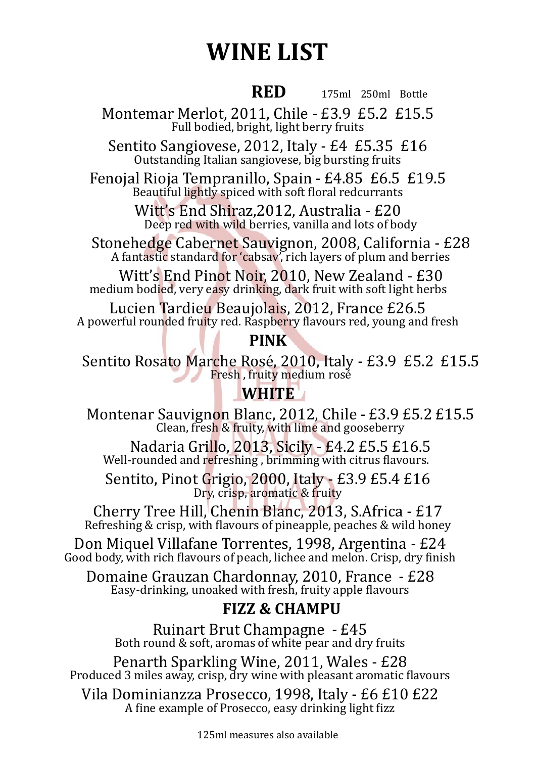# **WINE LIST**

#### *RED*

175ml 250ml Bottle

Montemar Merlot, 2011, Chile - £3.9 £5.2 £15.5 Full bodied, bright, light berry fruits

Sentito Sangiovese, 2012, Italy - £4 £5.35 £16 Outstanding Italian sangiovese, big bursting fruits

Fenojal Rioja Tempranillo, Spain - £4.85 £6.5 £19.5 Beautiful lightly spiced with soft floral redcurrants

> Witt's End Shiraz,2012, Australia - £20 Deep red with wild berries, vanilla and lots of body

Stonehedge Cabernet Sauvignon, 2008, California - £28 A fantastic standard for 'cabsav', rich layers of plum and berries

Witt's End Pinot Noir, 2010, New Zealand - £30 medium bodied, very easy drinking, dark fruit with soft light herbs

Lucien Tardieu Beaujolais, 2012, France £26.5 A powerful rounded fruity red. Raspberry flavours red, young and fresh

#### **PINK**

Sentito Rosato Marche Rosé, 2010, Italy - £3.9 £5.2 £15.5 Fresh, fruity medium rosé

### **WHITE**

Montenar Sauvignon Blanc, 2012, Chile - £3.9 £5.2 £15.5 Clean, fresh & fruity, with lime and gooseberry

Nadaria Grillo, 2013, Sicily - £4.2 £5.5 £16.5 Well-rounded and refreshing , brimming with citrus flavours.

Sentito, Pinot Grigio, 2000, Italy - £3.9 £5.4 £16 Dry, crisp, aromatic & fruity

Cherry Tree Hill, Chenin Blanc, 2013, S.Africa - £17 Refreshing & crisp, with flavours of pineapple, peaches & wild honey

Don Miquel Villafane Torrentes, 1998, Argentina - £24 Good body, with rich flavours of peach, lichee and melon. Crisp, dry finish

Domaine Grauzan Chardonnay, 2010, France - £28 Easy-drinking, unoaked with fresh, fruity apple flavours

## **FIZZ & CHAMPU**

Ruinart Brut Champagne - £45 Both round & soft, aromas of white pear and dry fruits

Penarth Sparkling Wine, 2011, Wales - £28 Produced 3 miles away, crisp, dry wine with pleasant aromatic flavours

Vila Dominianzza Prosecco, 1998, Italy - £6 £10 £22 A fine example of Prosecco, easy drinking light fizz

125ml measures also available